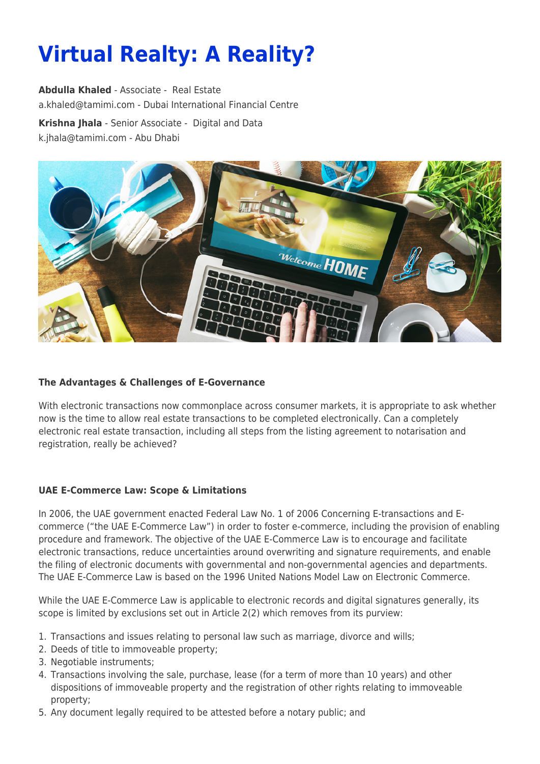# **Virtual Realty: A Reality?**

**[Abdulla Khaled](https://www.tamimi.com/find-a-lawyer/abdulla-khaled/)** - Associate - [Real Estate](https://www.tamimi.com/client-services/practices/real-estate/) [a.khaled@tamimi.com](mailto:a.khaled@tamimi.com) - [Dubai International Financial Centre](https://www.tamimi.com/locations/uae/) **[Krishna Jhala](https://www.tamimi.com/find-a-lawyer/krishna-jhala/)** - Senior Associate - [Digital and Data](https://www.tamimi.com/client-services/practices/digital-data/) [k.jhala@tamimi.com](mailto:k.jhala@tamimi.com) - [Abu Dhabi](https://www.tamimi.com/locations/uae/)



### **The Advantages & Challenges of E-Governance**

With electronic transactions now commonplace across consumer markets, it is appropriate to ask whether now is the time to allow real estate transactions to be completed electronically. Can a completely electronic real estate transaction, including all steps from the listing agreement to notarisation and registration, really be achieved?

#### **UAE E-Commerce Law: Scope & Limitations**

In 2006, the UAE government enacted Federal Law No. 1 of 2006 Concerning E-transactions and Ecommerce ("the UAE E-Commerce Law") in order to foster e-commerce, including the provision of enabling procedure and framework. The objective of the UAE E-Commerce Law is to encourage and facilitate electronic transactions, reduce uncertainties around overwriting and signature requirements, and enable the filing of electronic documents with governmental and non-governmental agencies and departments. The UAE E-Commerce Law is based on the 1996 United Nations Model Law on Electronic Commerce.

While the UAE E-Commerce Law is applicable to electronic records and digital signatures generally, its scope is limited by exclusions set out in Article 2(2) which removes from its purview:

- 1. Transactions and issues relating to personal law such as marriage, divorce and wills;
- 2. Deeds of title to immoveable property;
- 3. Negotiable instruments;
- 4. Transactions involving the sale, purchase, lease (for a term of more than 10 years) and other dispositions of immoveable property and the registration of other rights relating to immoveable property;
- 5. Any document legally required to be attested before a notary public; and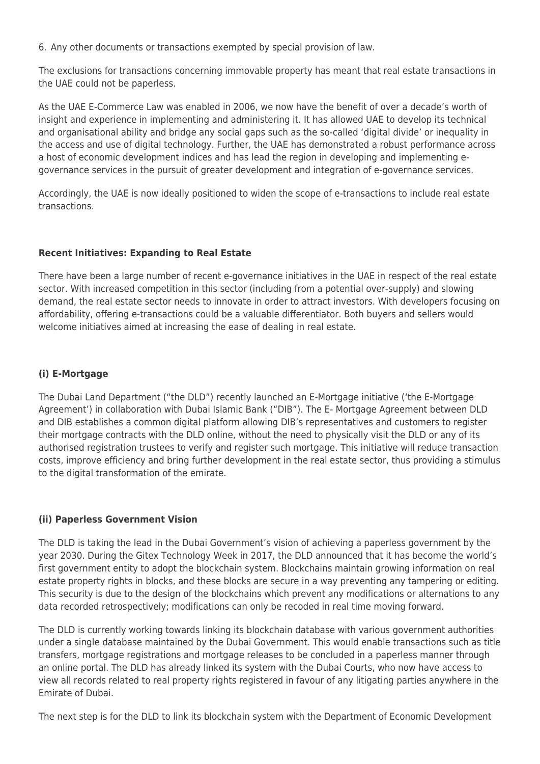6. Any other documents or transactions exempted by special provision of law.

The exclusions for transactions concerning immovable property has meant that real estate transactions in the UAE could not be paperless.

As the UAE E-Commerce Law was enabled in 2006, we now have the benefit of over a decade's worth of insight and experience in implementing and administering it. It has allowed UAE to develop its technical and organisational ability and bridge any social gaps such as the so-called 'digital divide' or inequality in the access and use of digital technology. Further, the UAE has demonstrated a robust performance across a host of economic development indices and has lead the region in developing and implementing egovernance services in the pursuit of greater development and integration of e-governance services.

Accordingly, the UAE is now ideally positioned to widen the scope of e-transactions to include real estate transactions.

# **Recent Initiatives: Expanding to Real Estate**

There have been a large number of recent e-governance initiatives in the UAE in respect of the real estate sector. With increased competition in this sector (including from a potential over-supply) and slowing demand, the real estate sector needs to innovate in order to attract investors. With developers focusing on affordability, offering e-transactions could be a valuable differentiator. Both buyers and sellers would welcome initiatives aimed at increasing the ease of dealing in real estate.

# **(i) E-Mortgage**

The Dubai Land Department ("the DLD") recently launched an E-Mortgage initiative ('the E-Mortgage Agreement') in collaboration with Dubai Islamic Bank ("DIB"). The E- Mortgage Agreement between DLD and DIB establishes a common digital platform allowing DIB's representatives and customers to register their mortgage contracts with the DLD online, without the need to physically visit the DLD or any of its authorised registration trustees to verify and register such mortgage. This initiative will reduce transaction costs, improve efficiency and bring further development in the real estate sector, thus providing a stimulus to the digital transformation of the emirate.

# **(ii) Paperless Government Vision**

The DLD is taking the lead in the Dubai Government's vision of achieving a paperless government by the year 2030. During the Gitex Technology Week in 2017, the DLD announced that it has become the world's first government entity to adopt the blockchain system. Blockchains maintain growing information on real estate property rights in blocks, and these blocks are secure in a way preventing any tampering or editing. This security is due to the design of the blockchains which prevent any modifications or alternations to any data recorded retrospectively; modifications can only be recoded in real time moving forward.

The DLD is currently working towards linking its blockchain database with various government authorities under a single database maintained by the Dubai Government. This would enable transactions such as title transfers, mortgage registrations and mortgage releases to be concluded in a paperless manner through an online portal. The DLD has already linked its system with the Dubai Courts, who now have access to view all records related to real property rights registered in favour of any litigating parties anywhere in the Emirate of Dubai.

The next step is for the DLD to link its blockchain system with the Department of Economic Development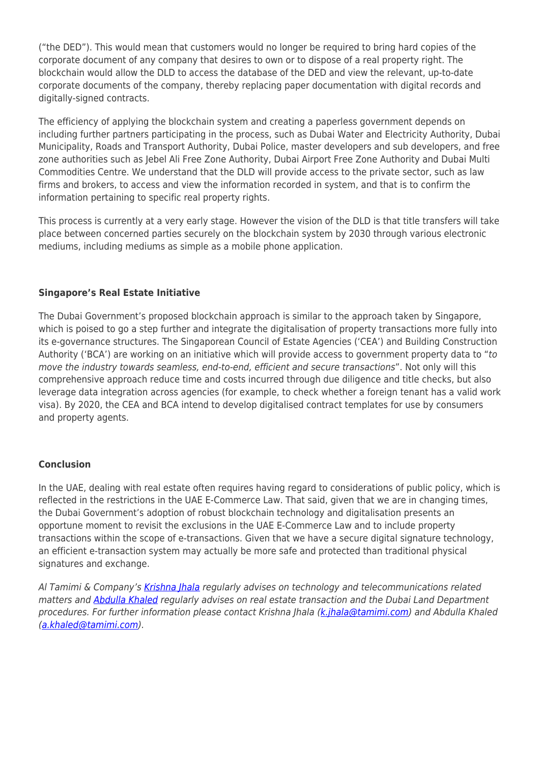("the DED"). This would mean that customers would no longer be required to bring hard copies of the corporate document of any company that desires to own or to dispose of a real property right. The blockchain would allow the DLD to access the database of the DED and view the relevant, up-to-date corporate documents of the company, thereby replacing paper documentation with digital records and digitally-signed contracts.

The efficiency of applying the blockchain system and creating a paperless government depends on including further partners participating in the process, such as Dubai Water and Electricity Authority, Dubai Municipality, Roads and Transport Authority, Dubai Police, master developers and sub developers, and free zone authorities such as Jebel Ali Free Zone Authority, Dubai Airport Free Zone Authority and Dubai Multi Commodities Centre. We understand that the DLD will provide access to the private sector, such as law firms and brokers, to access and view the information recorded in system, and that is to confirm the information pertaining to specific real property rights.

This process is currently at a very early stage. However the vision of the DLD is that title transfers will take place between concerned parties securely on the blockchain system by 2030 through various electronic mediums, including mediums as simple as a mobile phone application.

# **Singapore's Real Estate Initiative**

The Dubai Government's proposed blockchain approach is similar to the approach taken by Singapore, which is poised to go a step further and integrate the digitalisation of property transactions more fully into its e-governance structures. The Singaporean Council of Estate Agencies ('CEA') and Building Construction Authority ('BCA') are working on an initiative which will provide access to government property data to "to move the industry towards seamless, end-to-end, efficient and secure transactions". Not only will this comprehensive approach reduce time and costs incurred through due diligence and title checks, but also leverage data integration across agencies (for example, to check whether a foreign tenant has a valid work visa). By 2020, the CEA and BCA intend to develop digitalised contract templates for use by consumers and property agents.

# **Conclusion**

In the UAE, dealing with real estate often requires having regard to considerations of public policy, which is reflected in the restrictions in the UAE E-Commerce Law. That said, given that we are in changing times, the Dubai Government's adoption of robust blockchain technology and digitalisation presents an opportune moment to revisit the exclusions in the UAE E-Commerce Law and to include property transactions within the scope of e-transactions. Given that we have a secure digital signature technology, an efficient e-transaction system may actually be more safe and protected than traditional physical signatures and exchange.

Al Tamimi & Company's [Krishna Jhala](https://www.tamimi.com/lawyer/krishna-jhala/) regularly advises on technology and telecommunications related matters and **Abdulla Khaled** regularly advises on real estate transaction and the Dubai Land Department procedures. For further information please contact Krishna Jhala ([k.jhala@tamimi.com\)](mailto:k.jhala@tamimi.com) and Abdulla Khaled [\(a.khaled@tamimi.com](mailto:a.khaled@tamimi.com)).